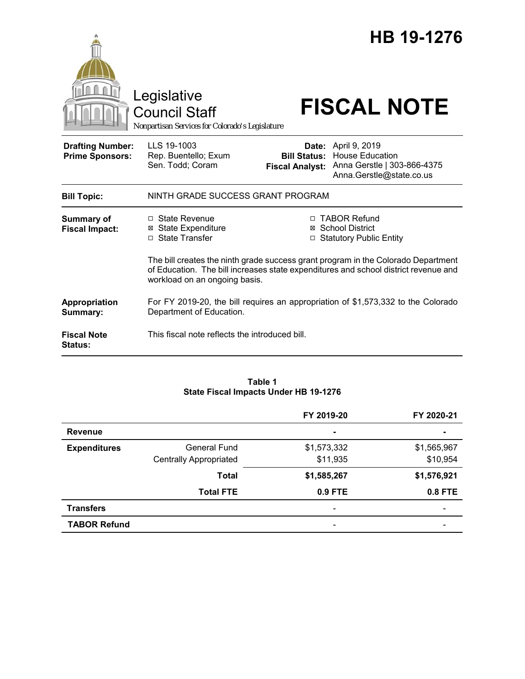|                                                   | Legislative<br><b>Council Staff</b><br>Nonpartisan Services for Colorado's Legislature                        |                        | HB 19-1276<br><b>FISCAL NOTE</b>                                                                                                                                                                                                             |  |
|---------------------------------------------------|---------------------------------------------------------------------------------------------------------------|------------------------|----------------------------------------------------------------------------------------------------------------------------------------------------------------------------------------------------------------------------------------------|--|
| <b>Drafting Number:</b><br><b>Prime Sponsors:</b> | LLS 19-1003<br>Rep. Buentello; Exum<br>Sen. Todd; Coram                                                       | <b>Fiscal Analyst:</b> | <b>Date: April 9, 2019</b><br><b>Bill Status: House Education</b><br>Anna Gerstle   303-866-4375<br>Anna.Gerstle@state.co.us                                                                                                                 |  |
| <b>Bill Topic:</b>                                | NINTH GRADE SUCCESS GRANT PROGRAM                                                                             |                        |                                                                                                                                                                                                                                              |  |
| <b>Summary of</b><br><b>Fiscal Impact:</b>        | $\Box$ State Revenue<br><b>State Expenditure</b><br>⊠<br>□ State Transfer                                     |                        | □ TABOR Refund<br>⊠ School District<br>□ Statutory Public Entity<br>The bill creates the ninth grade success grant program in the Colorado Department<br>of Education. The bill increases state expenditures and school district revenue and |  |
|                                                   | workload on an ongoing basis.                                                                                 |                        |                                                                                                                                                                                                                                              |  |
| Appropriation<br>Summary:                         | For FY 2019-20, the bill requires an appropriation of \$1,573,332 to the Colorado<br>Department of Education. |                        |                                                                                                                                                                                                                                              |  |
| <b>Fiscal Note</b><br><b>Status:</b>              | This fiscal note reflects the introduced bill.                                                                |                        |                                                                                                                                                                                                                                              |  |

#### **Table 1 State Fiscal Impacts Under HB 19-1276**

|                     |                               | FY 2019-20  | FY 2020-21     |
|---------------------|-------------------------------|-------------|----------------|
| <b>Revenue</b>      |                               | ۰           | $\blacksquare$ |
| <b>Expenditures</b> | General Fund                  | \$1,573,332 | \$1,565,967    |
|                     | <b>Centrally Appropriated</b> | \$11,935    | \$10,954       |
|                     | <b>Total</b>                  | \$1,585,267 | \$1,576,921    |
|                     | <b>Total FTE</b>              | 0.9 FTE     | <b>0.8 FTE</b> |
| <b>Transfers</b>    |                               |             |                |
| <b>TABOR Refund</b> |                               |             |                |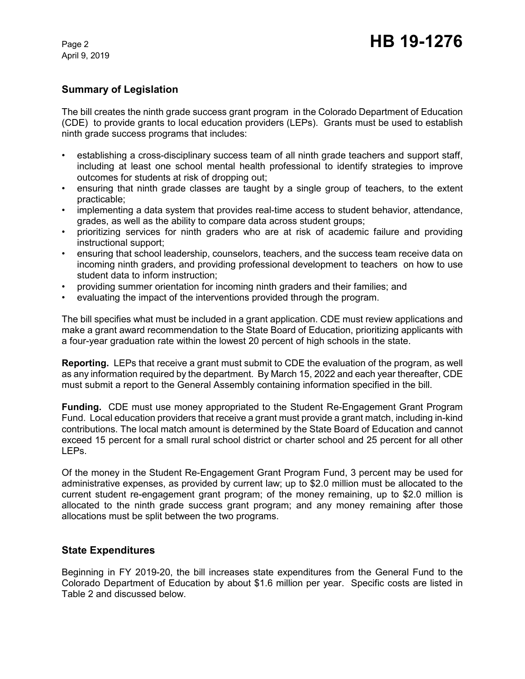April 9, 2019

## **Summary of Legislation**

The bill creates the ninth grade success grant program in the Colorado Department of Education (CDE) to provide grants to local education providers (LEPs). Grants must be used to establish ninth grade success programs that includes:

- establishing a cross-disciplinary success team of all ninth grade teachers and support staff, including at least one school mental health professional to identify strategies to improve outcomes for students at risk of dropping out;
- ensuring that ninth grade classes are taught by a single group of teachers, to the extent practicable;
- implementing a data system that provides real-time access to student behavior, attendance, grades, as well as the ability to compare data across student groups;
- prioritizing services for ninth graders who are at risk of academic failure and providing instructional support;
- ensuring that school leadership, counselors, teachers, and the success team receive data on incoming ninth graders, and providing professional development to teachers on how to use student data to inform instruction;
- providing summer orientation for incoming ninth graders and their families; and
- evaluating the impact of the interventions provided through the program.

The bill specifies what must be included in a grant application. CDE must review applications and make a grant award recommendation to the State Board of Education, prioritizing applicants with a four-year graduation rate within the lowest 20 percent of high schools in the state.

**Reporting.** LEPs that receive a grant must submit to CDE the evaluation of the program, as well as any information required by the department. By March 15, 2022 and each year thereafter, CDE must submit a report to the General Assembly containing information specified in the bill.

**Funding.** CDE must use money appropriated to the Student Re-Engagement Grant Program Fund. Local education providers that receive a grant must provide a grant match, including in-kind contributions. The local match amount is determined by the State Board of Education and cannot exceed 15 percent for a small rural school district or charter school and 25 percent for all other LEPs.

Of the money in the Student Re-Engagement Grant Program Fund, 3 percent may be used for administrative expenses, as provided by current law; up to \$2.0 million must be allocated to the current student re-engagement grant program; of the money remaining, up to \$2.0 million is allocated to the ninth grade success grant program; and any money remaining after those allocations must be split between the two programs.

### **State Expenditures**

Beginning in FY 2019-20, the bill increases state expenditures from the General Fund to the Colorado Department of Education by about \$1.6 million per year. Specific costs are listed in Table 2 and discussed below.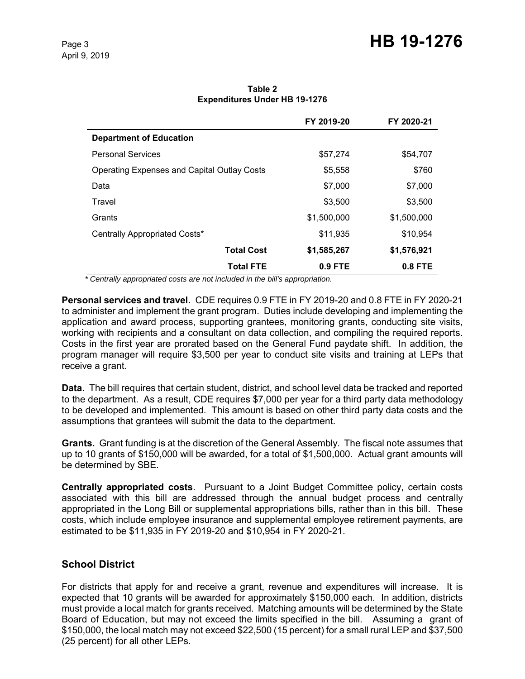|                                                    | FY 2019-20  | FY 2020-21  |
|----------------------------------------------------|-------------|-------------|
| <b>Department of Education</b>                     |             |             |
| <b>Personal Services</b>                           | \$57,274    | \$54,707    |
| <b>Operating Expenses and Capital Outlay Costs</b> | \$5,558     | \$760       |
| Data                                               | \$7,000     | \$7,000     |
| Travel                                             | \$3,500     | \$3,500     |
| Grants                                             | \$1,500,000 | \$1,500,000 |
| Centrally Appropriated Costs*                      | \$11,935    | \$10,954    |
| <b>Total Cost</b>                                  | \$1,585,267 | \$1,576,921 |
| <b>Total FTE</b>                                   | $0.9$ FTE   | $0.8$ FTE   |

**Table 2 Expenditures Under HB 19-1276**

 *\* Centrally appropriated costs are not included in the bill's appropriation.*

**Personal services and travel.** CDE requires 0.9 FTE in FY 2019-20 and 0.8 FTE in FY 2020-21 to administer and implement the grant program. Duties include developing and implementing the application and award process, supporting grantees, monitoring grants, conducting site visits, working with recipients and a consultant on data collection, and compiling the required reports. Costs in the first year are prorated based on the General Fund paydate shift. In addition, the program manager will require \$3,500 per year to conduct site visits and training at LEPs that receive a grant.

**Data.** The bill requires that certain student, district, and school level data be tracked and reported to the department. As a result, CDE requires \$7,000 per year for a third party data methodology to be developed and implemented. This amount is based on other third party data costs and the assumptions that grantees will submit the data to the department.

**Grants.** Grant funding is at the discretion of the General Assembly. The fiscal note assumes that up to 10 grants of \$150,000 will be awarded, for a total of \$1,500,000. Actual grant amounts will be determined by SBE.

**Centrally appropriated costs**. Pursuant to a Joint Budget Committee policy, certain costs associated with this bill are addressed through the annual budget process and centrally appropriated in the Long Bill or supplemental appropriations bills, rather than in this bill. These costs, which include employee insurance and supplemental employee retirement payments, are estimated to be \$11,935 in FY 2019-20 and \$10,954 in FY 2020-21.

# **School District**

For districts that apply for and receive a grant, revenue and expenditures will increase. It is expected that 10 grants will be awarded for approximately \$150,000 each. In addition, districts must provide a local match for grants received. Matching amounts will be determined by the State Board of Education, but may not exceed the limits specified in the bill. Assuming a grant of \$150,000, the local match may not exceed \$22,500 (15 percent) for a small rural LEP and \$37,500 (25 percent) for all other LEPs.